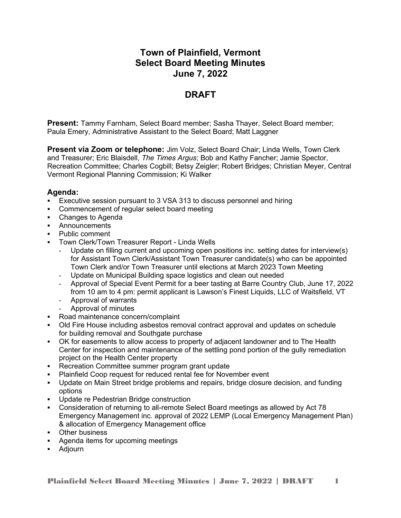# **Town of Plainfield, Vermont Select Board Meeting Minutes June 7, 2022**

# **DRAFT**

**Present:** Tammy Farnham, Select Board member; Sasha Thayer, Select Board member; Paula Emery, Administrative Assistant to the Select Board; Matt Laggner

**Present via Zoom or telephone:** Jim Volz, Select Board Chair; Linda Wells, Town Clerk and Treasurer; Eric Blaisdell, *The Times Argus*; Bob and Kathy Fancher; Jamie Spector, Recreation Committee; Charles Cogbill; Betsy Zeigler; Robert Bridges; Christian Meyer, Central Vermont Regional Planning Commission; Ki Walker

# **Agenda:**

- Executive session pursuant to 3 VSA 313 to discuss personnel and hiring
- Commencement of regular select board meeting
- Changes to Agenda
- **Announcements**
- Public comment
- Town Clerk/Town Treasurer Report Linda Wells
	- Update on filling current and upcoming open positions inc. setting dates for interview(s) for Assistant Town Clerk/Assistant Town Treasurer candidate(s) who can be appointed Town Clerk and/or Town Treasurer until elections at March 2023 Town Meeting
	- Update on Municipal Building space logistics and clean out needed
	- Approval of Special Event Permit for a beer tasting at Barre Country Club, June 17, 2022 from 10 am to 4 pm: permit applicant is Lawson's Finest Liquids, LLC of Waitsfield, VT
	- Approval of warrants
	- Approval of minutes
- Road maintenance concern/complaint
- Old Fire House including asbestos removal contract approval and updates on schedule for building removal and Southgate purchase
- OK for easements to allow access to property of adjacent landowner and to The Health Center for inspection and maintenance of the settling pond portion of the gully remediation project on the Health Center property
- **Recreation Committee summer program grant update**
- Plainfield Coop request for reduced rental fee for November event
- Update on Main Street bridge problems and repairs, bridge closure decision, and funding options
- **Update re Pedestrian Bridge construction**
- Consideration of returning to all-remote Select Board meetings as allowed by Act 78 Emergency Management inc. approval of 2022 LEMP (Local Emergency Management Plan) & allocation of Emergency Management office
- **•** Other business
- Agenda items for upcoming meetings
- Adjourn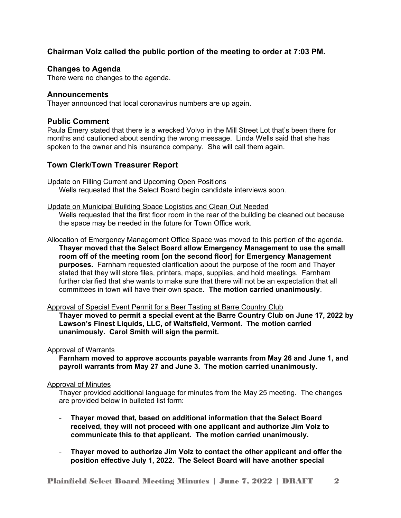# **Chairman Volz called the public portion of the meeting to order at 7:03 PM.**

# **Changes to Agenda**

There were no changes to the agenda.

# **Announcements**

Thayer announced that local coronavirus numbers are up again.

## **Public Comment**

Paula Emery stated that there is a wrecked Volvo in the Mill Street Lot that's been there for months and cautioned about sending the wrong message. Linda Wells said that she has spoken to the owner and his insurance company. She will call them again.

# **Town Clerk/Town Treasurer Report**

Update on Filling Current and Upcoming Open Positions Wells requested that the Select Board begin candidate interviews soon.

Update on Municipal Building Space Logistics and Clean Out Needed Wells requested that the first floor room in the rear of the building be cleaned out because the space may be needed in the future for Town Office work.

Allocation of Emergency Management Office Space was moved to this portion of the agenda. **Thayer moved that the Select Board allow Emergency Management to use the small room off of the meeting room [on the second floor] for Emergency Management purposes.** Farnham requested clarification about the purpose of the room and Thayer stated that they will store files, printers, maps, supplies, and hold meetings. Farnham further clarified that she wants to make sure that there will not be an expectation that all committees in town will have their own space. **The motion carried unanimously**.

Approval of Special Event Permit for a Beer Tasting at Barre Country Club

**Thayer moved to permit a special event at the Barre Country Club on June 17, 2022 by Lawson's Finest Liquids, LLC, of Waitsfield, Vermont. The motion carried unanimously. Carol Smith will sign the permit.**

## Approval of Warrants

**Farnham moved to approve accounts payable warrants from May 26 and June 1, and payroll warrants from May 27 and June 3. The motion carried unanimously.**

## Approval of Minutes

Thayer provided additional language for minutes from the May 25 meeting. The changes are provided below in bulleted list form:

- **Thayer moved that, based on additional information that the Select Board received, they will not proceed with one applicant and authorize Jim Volz to communicate this to that applicant. The motion carried unanimously.**
- **Thayer moved to authorize Jim Volz to contact the other applicant and offer the position effective July 1, 2022. The Select Board will have another special**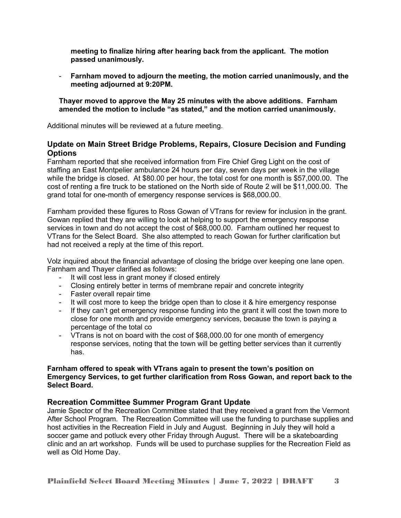**meeting to finalize hiring after hearing back from the applicant. The motion passed unanimously.** 

- **Farnham moved to adjourn the meeting, the motion carried unanimously, and the meeting adjourned at 9:20PM.**

**Thayer moved to approve the May 25 minutes with the above additions. Farnham amended the motion to include "as stated," and the motion carried unanimously.** 

Additional minutes will be reviewed at a future meeting.

# **Update on Main Street Bridge Problems, Repairs, Closure Decision and Funding Options**

Farnham reported that she received information from Fire Chief Greg Light on the cost of staffing an East Montpelier ambulance 24 hours per day, seven days per week in the village while the bridge is closed. At \$80.00 per hour, the total cost for one month is \$57,000.00. The cost of renting a fire truck to be stationed on the North side of Route 2 will be \$11,000.00. The grand total for one-month of emergency response services is \$68,000.00.

Farnham provided these figures to Ross Gowan of VTrans for review for inclusion in the grant. Gowan replied that they are willing to look at helping to support the emergency response services in town and do not accept the cost of \$68,000.00. Farnham outlined her request to VTrans for the Select Board. She also attempted to reach Gowan for further clarification but had not received a reply at the time of this report.

Volz inquired about the financial advantage of closing the bridge over keeping one lane open. Farnham and Thayer clarified as follows:

- It will cost less in grant money if closed entirely
- Closing entirely better in terms of membrane repair and concrete integrity
- Faster overall repair time
- It will cost more to keep the bridge open than to close it & hire emergency response
- If they can't get emergency response funding into the grant it will cost the town more to close for one month and provide emergency services, because the town is paying a percentage of the total co
- VTrans is not on board with the cost of \$68,000.00 for one month of emergency response services, noting that the town will be getting better services than it currently has.

#### **Farnham offered to speak with VTrans again to present the town's position on Emergency Services, to get further clarification from Ross Gowan, and report back to the Select Board.**

## **Recreation Committee Summer Program Grant Update**

Jamie Spector of the Recreation Committee stated that they received a grant from the Vermont After School Program. The Recreation Committee will use the funding to purchase supplies and host activities in the Recreation Field in July and August. Beginning in July they will hold a soccer game and potluck every other Friday through August. There will be a skateboarding clinic and an art workshop. Funds will be used to purchase supplies for the Recreation Field as well as Old Home Day.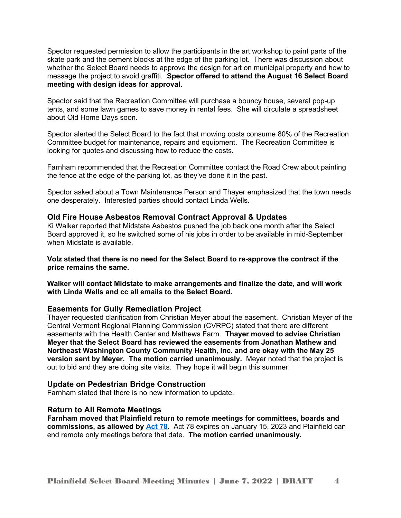Spector requested permission to allow the participants in the art workshop to paint parts of the skate park and the cement blocks at the edge of the parking lot. There was discussion about whether the Select Board needs to approve the design for art on municipal property and how to message the project to avoid graffiti. **Spector offered to attend the August 16 Select Board meeting with design ideas for approval.** 

Spector said that the Recreation Committee will purchase a bouncy house, several pop-up tents, and some lawn games to save money in rental fees. She will circulate a spreadsheet about Old Home Days soon.

Spector alerted the Select Board to the fact that mowing costs consume 80% of the Recreation Committee budget for maintenance, repairs and equipment. The Recreation Committee is looking for quotes and discussing how to reduce the costs.

Farnham recommended that the Recreation Committee contact the Road Crew about painting the fence at the edge of the parking lot, as they've done it in the past.

Spector asked about a Town Maintenance Person and Thayer emphasized that the town needs one desperately. Interested parties should contact Linda Wells.

#### **Old Fire House Asbestos Removal Contract Approval & Updates**

Ki Walker reported that Midstate Asbestos pushed the job back one month after the Select Board approved it, so he switched some of his jobs in order to be available in mid-September when Midstate is available.

**Volz stated that there is no need for the Select Board to re-approve the contract if the price remains the same.** 

**Walker will contact Midstate to make arrangements and finalize the date, and will work with Linda Wells and cc all emails to the Select Board.**

#### **Easements for Gully Remediation Project**

Thayer requested clarification from Christian Meyer about the easement. Christian Meyer of the Central Vermont Regional Planning Commission (CVRPC) stated that there are different easements with the Health Center and Mathews Farm. **Thayer moved to advise Christian Meyer that the Select Board has reviewed the easements from Jonathan Mathew and Northeast Washington County Community Health, Inc. and are okay with the May 25 version sent by Meyer. The motion carried unanimously.** Meyer noted that the project is out to bid and they are doing site visits. They hope it will begin this summer.

#### **Update on Pedestrian Bridge Construction**

Farnham stated that there is no new information to update.

#### **Return to All Remote Meetings**

**Farnham moved that Plainfield return to remote meetings for committees, boards and commissions, as allowed by [Act 78](https://legislature.vermont.gov/Documents/2022/Docs/ACTS/ACT078/ACT078%20As%20Enacted.pdf).** Act 78 expires on January 15, 2023 and Plainfield can end remote only meetings before that date. **The motion carried unanimously.**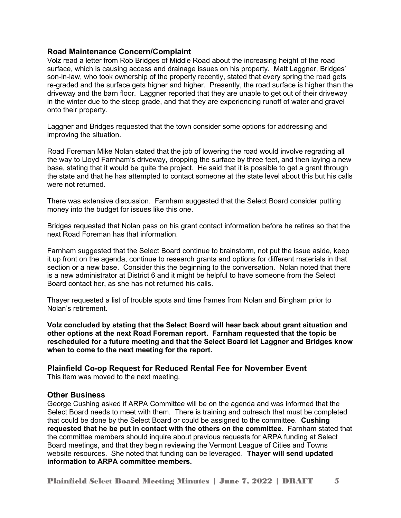## **Road Maintenance Concern/Complaint**

Volz read a letter from Rob Bridges of Middle Road about the increasing height of the road surface, which is causing access and drainage issues on his property. Matt Laggner, Bridges' son-in-law, who took ownership of the property recently, stated that every spring the road gets re-graded and the surface gets higher and higher. Presently, the road surface is higher than the driveway and the barn floor. Laggner reported that they are unable to get out of their driveway in the winter due to the steep grade, and that they are experiencing runoff of water and gravel onto their property.

Laggner and Bridges requested that the town consider some options for addressing and improving the situation.

Road Foreman Mike Nolan stated that the job of lowering the road would involve regrading all the way to Lloyd Farnham's driveway, dropping the surface by three feet, and then laying a new base, stating that it would be quite the project. He said that it is possible to get a grant through the state and that he has attempted to contact someone at the state level about this but his calls were not returned.

There was extensive discussion. Farnham suggested that the Select Board consider putting money into the budget for issues like this one.

Bridges requested that Nolan pass on his grant contact information before he retires so that the next Road Foreman has that information.

Farnham suggested that the Select Board continue to brainstorm, not put the issue aside, keep it up front on the agenda, continue to research grants and options for different materials in that section or a new base. Consider this the beginning to the conversation. Nolan noted that there is a new administrator at District 6 and it might be helpful to have someone from the Select Board contact her, as she has not returned his calls.

Thayer requested a list of trouble spots and time frames from Nolan and Bingham prior to Nolan's retirement.

**Volz concluded by stating that the Select Board will hear back about grant situation and other options at the next Road Foreman report. Farnham requested that the topic be rescheduled for a future meeting and that the Select Board let Laggner and Bridges know when to come to the next meeting for the report.**

**Plainfield Co-op Request for Reduced Rental Fee for November Event** This item was moved to the next meeting.

## **Other Business**

George Cushing asked if ARPA Committee will be on the agenda and was informed that the Select Board needs to meet with them. There is training and outreach that must be completed that could be done by the Select Board or could be assigned to the committee. **Cushing requested that he be put in contact with the others on the committee.** Farnham stated that the committee members should inquire about previous requests for ARPA funding at Select Board meetings, and that they begin reviewing the Vermont League of Cities and Towns website resources. She noted that funding can be leveraged. **Thayer will send updated information to ARPA committee members.**